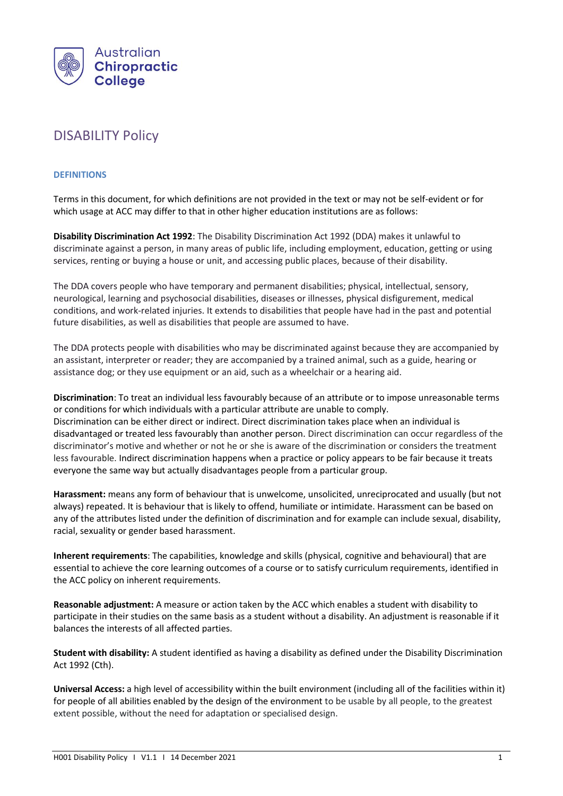

# DISABILITY Policy

## **DEFINITIONS**

Terms in this document, for which definitions are not provided in the text or may not be self-evident or for which usage at ACC may differ to that in other higher education institutions are as follows:

**Disability Discrimination Act 1992**: The Disability Discrimination Act 1992 (DDA) makes it unlawful to discriminate against a person, in many areas of public life, including employment, education, getting or using services, renting or buying a house or unit, and accessing public places, because of their disability.

The DDA covers people who have temporary and permanent disabilities; physical, intellectual, sensory, neurological, learning and psychosocial disabilities, diseases or illnesses, physical disfigurement, medical conditions, and work-related injuries. It extends to disabilities that people have had in the past and potential future disabilities, as well as disabilities that people are assumed to have.

The DDA protects people with disabilities who may be discriminated against because they are accompanied by an assistant, interpreter or reader; they are accompanied by a trained animal, such as a guide, hearing or assistance dog; or they use equipment or an aid, such as a wheelchair or a hearing aid.

**Discrimination**: To treat an individual less favourably because of an attribute or to impose unreasonable terms or conditions for which individuals with a particular attribute are unable to comply. Discrimination can be either direct or indirect. Direct discrimination takes place when an individual is disadvantaged or treated less favourably than another person. Direct discrimination can occur regardless of the discriminator's motive and whether or not he or she is aware of the discrimination or considers the treatment less favourable. Indirect discrimination happens when a practice or policy appears to be fair because it treats everyone the same way but actually disadvantages people from a particular group.

**Harassment:** means any form of behaviour that is unwelcome, unsolicited, unreciprocated and usually (but not always) repeated. It is behaviour that is likely to offend, humiliate or intimidate. Harassment can be based on any of the attributes listed under the definition of discrimination and for example can include sexual, disability, racial, sexuality or gender based harassment.

**Inherent requirements**: The capabilities, knowledge and skills (physical, cognitive and behavioural) that are essential to achieve the core learning outcomes of a course or to satisfy curriculum requirements, identified in the ACC policy on inherent requirements.

**Reasonable adjustment:** A measure or action taken by the ACC which enables a student with disability to participate in their studies on the same basis as a student without a disability. An adjustment is reasonable if it balances the interests of all affected parties.

**Student with disability:** A student identified as having a disability as defined under the Disability Discrimination Act 1992 (Cth).

**Universal Access:** a high level of accessibility within the built environment (including all of the facilities within it) for people of all abilities enabled by the design of the environment to be usable by all people, to the greatest extent possible, without the need for adaptation or specialised design.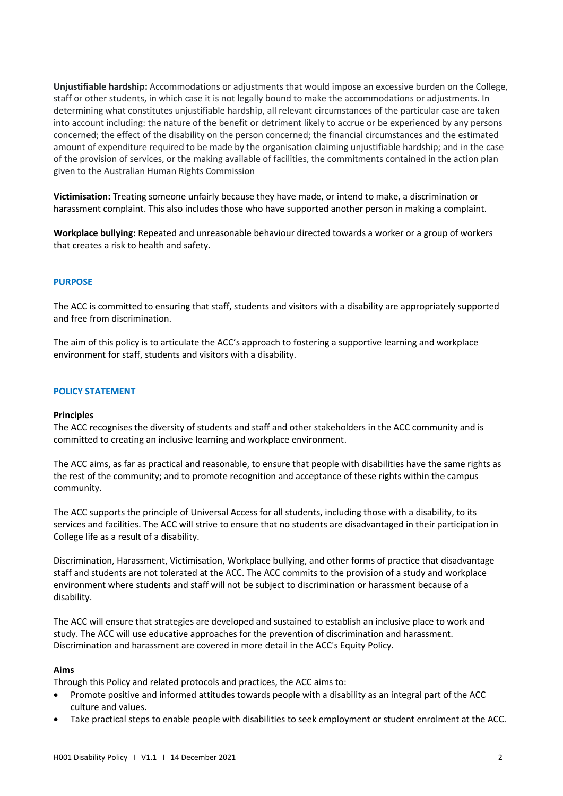**Unjustifiable hardship:** Accommodations or adjustments that would impose an excessive burden on the College, staff or other students, in which case it is not legally bound to make the accommodations or adjustments. In determining what constitutes unjustifiable hardship, all relevant circumstances of the particular case are taken into account including: the nature of the benefit or detriment likely to accrue or be experienced by any persons concerned; the effect of the disability on the person concerned; the financial circumstances and the estimated amount of expenditure required to be made by the organisation claiming unjustifiable hardship; and in the case of the provision of services, or the making available of facilities, the commitments contained in the action plan given to the Australian Human Rights Commission

**Victimisation:** Treating someone unfairly because they have made, or intend to make, a discrimination or harassment complaint. This also includes those who have supported another person in making a complaint.

**Workplace bullying:** Repeated and unreasonable behaviour directed towards a worker or a group of workers that creates a risk to health and safety.

# **PURPOSE**

The ACC is committed to ensuring that staff, students and visitors with a disability are appropriately supported and free from discrimination.

The aim of this policy is to articulate the ACC's approach to fostering a supportive learning and workplace environment for staff, students and visitors with a disability.

#### **POLICY STATEMENT**

#### **Principles**

The ACC recognises the diversity of students and staff and other stakeholders in the ACC community and is committed to creating an inclusive learning and workplace environment.

The ACC aims, as far as practical and reasonable, to ensure that people with disabilities have the same rights as the rest of the community; and to promote recognition and acceptance of these rights within the campus community.

The ACC supports the principle of Universal Access for all students, including those with a disability, to its services and facilities. The ACC will strive to ensure that no students are disadvantaged in their participation in College life as a result of a disability.

Discrimination, Harassment, Victimisation, Workplace bullying, and other forms of practice that disadvantage staff and students are not tolerated at the ACC. The ACC commits to the provision of a study and workplace environment where students and staff will not be subject to discrimination or harassment because of a disability.

The ACC will ensure that strategies are developed and sustained to establish an inclusive place to work and study. The ACC will use educative approaches for the prevention of discrimination and harassment. Discrimination and harassment are covered in more detail in the ACC's Equity Policy.

# **Aims**

Through this Policy and related protocols and practices, the ACC aims to:

- Promote positive and informed attitudes towards people with a disability as an integral part of the ACC culture and values.
- Take practical steps to enable people with disabilities to seek employment or student enrolment at the ACC.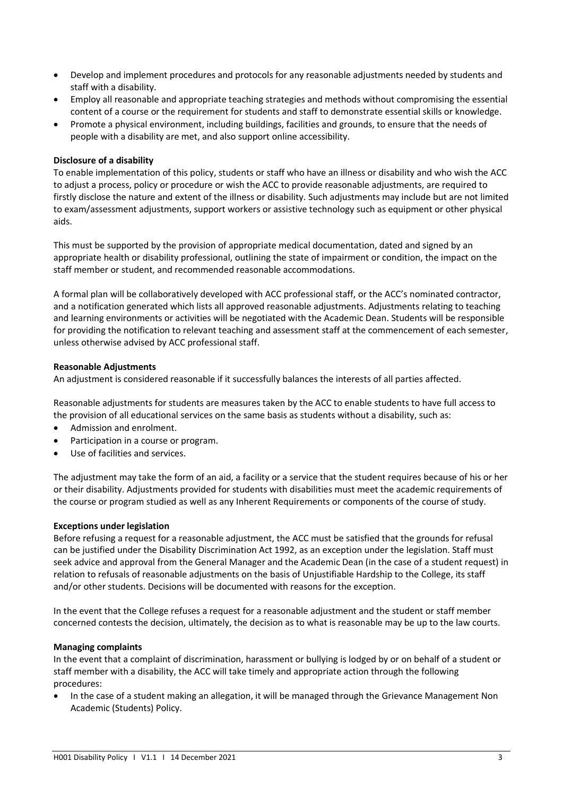- Develop and implement procedures and protocols for any reasonable adjustments needed by students and staff with a disability.
- Employ all reasonable and appropriate teaching strategies and methods without compromising the essential content of a course or the requirement for students and staff to demonstrate essential skills or knowledge.
- Promote a physical environment, including buildings, facilities and grounds, to ensure that the needs of people with a disability are met, and also support online accessibility.

## **Disclosure of a disability**

To enable implementation of this policy, students or staff who have an illness or disability and who wish the ACC to adjust a process, policy or procedure or wish the ACC to provide reasonable adjustments, are required to firstly disclose the nature and extent of the illness or disability. Such adjustments may include but are not limited to exam/assessment adjustments, support workers or assistive technology such as equipment or other physical aids.

This must be supported by the provision of appropriate medical documentation, dated and signed by an appropriate health or disability professional, outlining the state of impairment or condition, the impact on the staff member or student, and recommended reasonable accommodations.

A formal plan will be collaboratively developed with ACC professional staff, or the ACC's nominated contractor, and a notification generated which lists all approved reasonable adjustments. Adjustments relating to teaching and learning environments or activities will be negotiated with the Academic Dean. Students will be responsible for providing the notification to relevant teaching and assessment staff at the commencement of each semester, unless otherwise advised by ACC professional staff.

#### **Reasonable Adjustments**

An adjustment is considered reasonable if it successfully balances the interests of all parties affected.

Reasonable adjustments for students are measures taken by the ACC to enable students to have full access to the provision of all educational services on the same basis as students without a disability, such as:

- Admission and enrolment.
- Participation in a course or program.
- Use of facilities and services.

The adjustment may take the form of an aid, a facility or a service that the student requires because of his or her or their disability. Adjustments provided for students with disabilities must meet the academic requirements of the course or program studied as well as any Inherent Requirements or components of the course of study.

# **Exceptions under legislation**

Before refusing a request for a reasonable adjustment, the ACC must be satisfied that the grounds for refusal can be justified under the Disability Discrimination Act 1992, as an exception under the legislation. Staff must seek advice and approval from the General Manager and the Academic Dean (in the case of a student request) in relation to refusals of reasonable adjustments on the basis of Unjustifiable Hardship to the College, its staff and/or other students. Decisions will be documented with reasons for the exception.

In the event that the College refuses a request for a reasonable adjustment and the student or staff member concerned contests the decision, ultimately, the decision as to what is reasonable may be up to the law courts.

# **Managing complaints**

In the event that a complaint of discrimination, harassment or bullying is lodged by or on behalf of a student or staff member with a disability, the ACC will take timely and appropriate action through the following procedures:

• In the case of a student making an allegation, it will be managed through the Grievance Management Non Academic (Students) Policy.